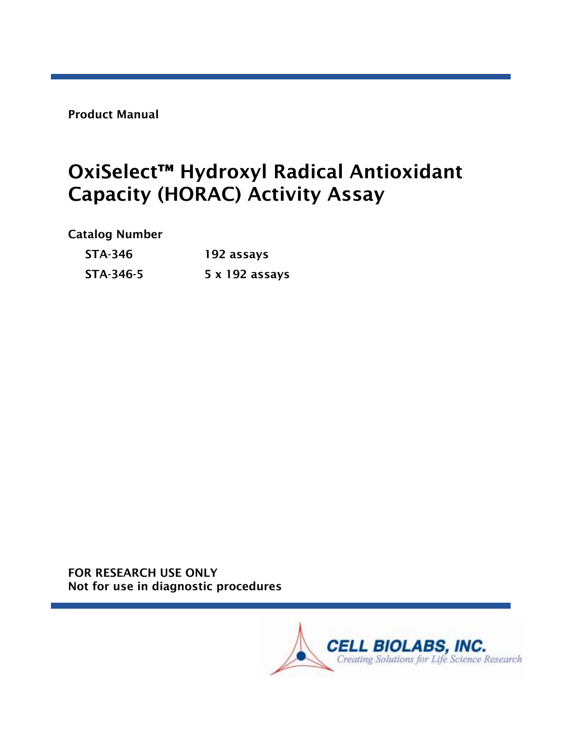Product Manual

# OxiSelect™ Hydroxyl Radical Antioxidant Capacity (HORAC) Activity Assay

#### Catalog Number

| <b>STA-346</b> | 192 assays     |  |
|----------------|----------------|--|
| STA-346-5      | 5 x 192 assays |  |

FOR RESEARCH USE ONLY Not for use in diagnostic procedures

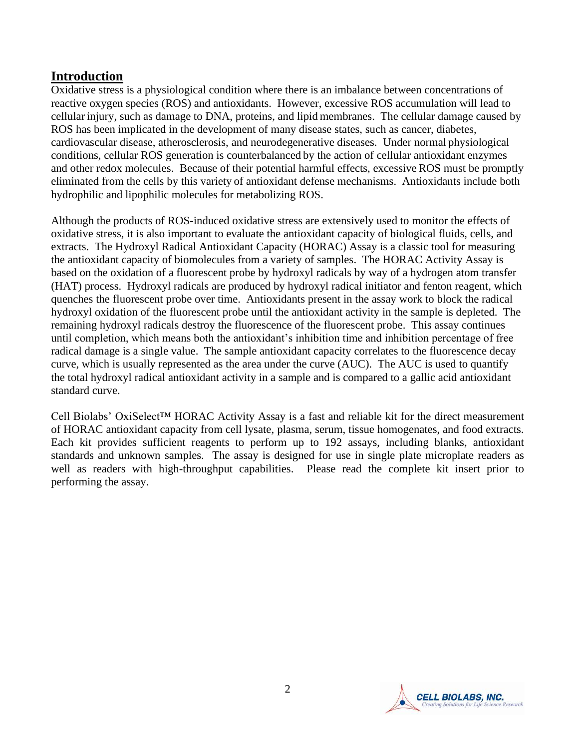#### **Introduction**

Oxidative stress is a physiological condition where there is an imbalance between concentrations of reactive oxygen species (ROS) and antioxidants. However, excessive ROS accumulation will lead to cellular injury, such as damage to DNA, proteins, and lipid membranes. The cellular damage caused by ROS has been implicated in the development of many disease states, such as cancer, diabetes, cardiovascular disease, atherosclerosis, and neurodegenerative diseases. Under normal physiological conditions, cellular ROS generation is counterbalanced by the action of cellular antioxidant enzymes and other redox molecules. Because of their potential harmful effects, excessive ROS must be promptly eliminated from the cells by this variety of antioxidant defense mechanisms. Antioxidants include both hydrophilic and lipophilic molecules for metabolizing ROS.

Although the products of ROS-induced oxidative stress are extensively used to monitor the effects of oxidative stress, it is also important to evaluate the antioxidant capacity of biological fluids, cells, and extracts. The Hydroxyl Radical Antioxidant Capacity (HORAC) Assay is a classic tool for measuring the antioxidant capacity of biomolecules from a variety of samples. The HORAC Activity Assay is based on the oxidation of a fluorescent probe by hydroxyl radicals by way of a hydrogen atom transfer (HAT) process. Hydroxyl radicals are produced by hydroxyl radical initiator and fenton reagent, which quenches the fluorescent probe over time. Antioxidants present in the assay work to block the radical hydroxyl oxidation of the fluorescent probe until the antioxidant activity in the sample is depleted. The remaining hydroxyl radicals destroy the fluorescence of the fluorescent probe. This assay continues until completion, which means both the antioxidant's inhibition time and inhibition percentage of free radical damage is a single value. The sample antioxidant capacity correlates to the fluorescence decay curve, which is usually represented as the area under the curve (AUC). The AUC is used to quantify the total hydroxyl radical antioxidant activity in a sample and is compared to a gallic acid antioxidant standard curve.

Cell Biolabs' OxiSelect™ HORAC Activity Assay is a fast and reliable kit for the direct measurement of HORAC antioxidant capacity from cell lysate, plasma, serum, tissue homogenates, and food extracts. Each kit provides sufficient reagents to perform up to 192 assays, including blanks, antioxidant standards and unknown samples. The assay is designed for use in single plate microplate readers as well as readers with high-throughput capabilities. Please read the complete kit insert prior to performing the assay.

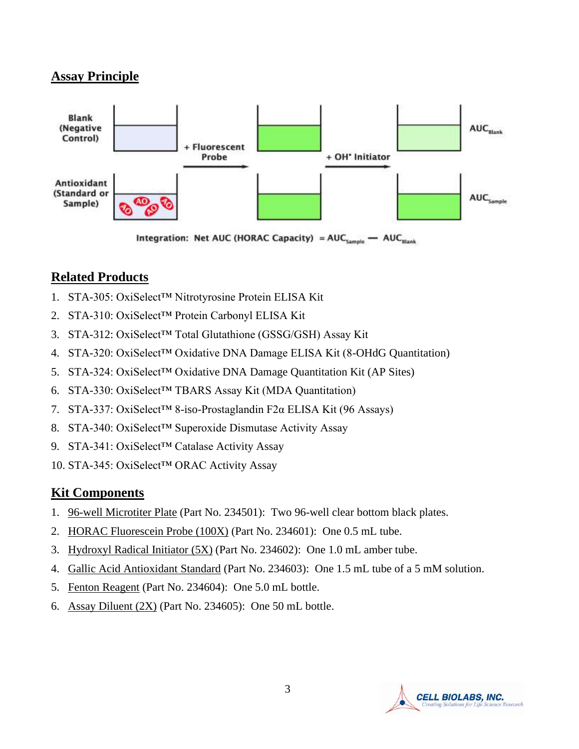## **Assay Principle**



Integration: Net AUC (HORAC Capacity) =  $AUC_{\text{Sample}}$   $\rightarrow$  AUC<sub>Blank</sub>

# **Related Products**

- 1. STA-305: OxiSelect™ Nitrotyrosine Protein ELISA Kit
- 2. STA-310: OxiSelect™ Protein Carbonyl ELISA Kit
- 3. STA-312: OxiSelect™ Total Glutathione (GSSG/GSH) Assay Kit
- 4. STA-320: OxiSelect™ Oxidative DNA Damage ELISA Kit (8-OHdG Quantitation)
- 5. STA-324: OxiSelect™ Oxidative DNA Damage Quantitation Kit (AP Sites)
- 6. STA-330: OxiSelect™ TBARS Assay Kit (MDA Quantitation)
- 7. STA-337: OxiSelect™ 8-iso-Prostaglandin F2α ELISA Kit (96 Assays)
- 8. STA-340: OxiSelect™ Superoxide Dismutase Activity Assay
- 9. STA-341: OxiSelect™ Catalase Activity Assay
- 10. STA-345: OxiSelect™ ORAC Activity Assay

#### **Kit Components**

- 1. 96-well Microtiter Plate (Part No. 234501): Two 96-well clear bottom black plates.
- 2. HORAC Fluorescein Probe (100X) (Part No. 234601): One 0.5 mL tube.
- 3. Hydroxyl Radical Initiator (5X) (Part No. 234602): One 1.0 mL amber tube.
- 4. Gallic Acid Antioxidant Standard (Part No. 234603): One 1.5 mL tube of a 5 mM solution.
- 5. Fenton Reagent (Part No. 234604): One 5.0 mL bottle.
- 6. Assay Diluent (2X) (Part No. 234605): One 50 mL bottle.

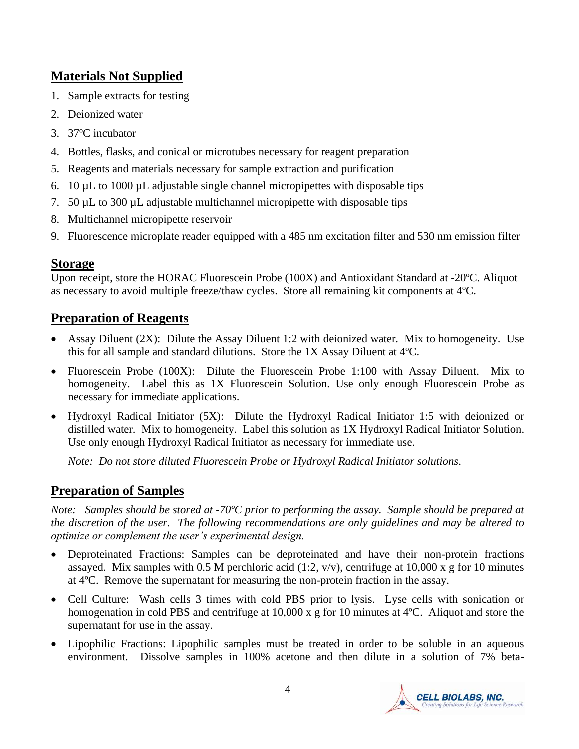# **Materials Not Supplied**

- 1. Sample extracts for testing
- 2. Deionized water
- 3. 37ºC incubator
- 4. Bottles, flasks, and conical or microtubes necessary for reagent preparation
- 5. Reagents and materials necessary for sample extraction and purification
- 6. 10 µL to 1000 µL adjustable single channel micropipettes with disposable tips
- 7. 50 µL to 300 µL adjustable multichannel micropipette with disposable tips
- 8. Multichannel micropipette reservoir
- 9. Fluorescence microplate reader equipped with a 485 nm excitation filter and 530 nm emission filter

# **Storage**

Upon receipt, store the HORAC Fluorescein Probe (100X) and Antioxidant Standard at -20ºC. Aliquot as necessary to avoid multiple freeze/thaw cycles. Store all remaining kit components at 4ºC.

# **Preparation of Reagents**

- Assay Diluent (2X): Dilute the Assay Diluent 1:2 with deionized water. Mix to homogeneity. Use this for all sample and standard dilutions. Store the 1X Assay Diluent at 4ºC.
- Fluorescein Probe (100X): Dilute the Fluorescein Probe 1:100 with Assay Diluent. Mix to homogeneity. Label this as 1X Fluorescein Solution. Use only enough Fluorescein Probe as necessary for immediate applications.
- Hydroxyl Radical Initiator (5X): Dilute the Hydroxyl Radical Initiator 1:5 with deionized or distilled water. Mix to homogeneity. Label this solution as 1X Hydroxyl Radical Initiator Solution. Use only enough Hydroxyl Radical Initiator as necessary for immediate use.

 *Note: Do not store diluted Fluorescein Probe or Hydroxyl Radical Initiator solutions*.

# **Preparation of Samples**

*Note: Samples should be stored at -70ºC prior to performing the assay. Sample should be prepared at the discretion of the user. The following recommendations are only guidelines and may be altered to optimize or complement the user's experimental design.* 

- Deproteinated Fractions: Samples can be deproteinated and have their non-protein fractions assayed. Mix samples with 0.5 M perchloric acid (1:2,  $v/v$ ), centrifuge at 10,000 x g for 10 minutes at 4ºC. Remove the supernatant for measuring the non-protein fraction in the assay.
- Cell Culture: Wash cells 3 times with cold PBS prior to lysis. Lyse cells with sonication or homogenation in cold PBS and centrifuge at 10,000 x g for 10 minutes at 4<sup>o</sup>C. Aliquot and store the supernatant for use in the assay.
- Lipophilic Fractions: Lipophilic samples must be treated in order to be soluble in an aqueous environment. Dissolve samples in 100% acetone and then dilute in a solution of 7% beta-

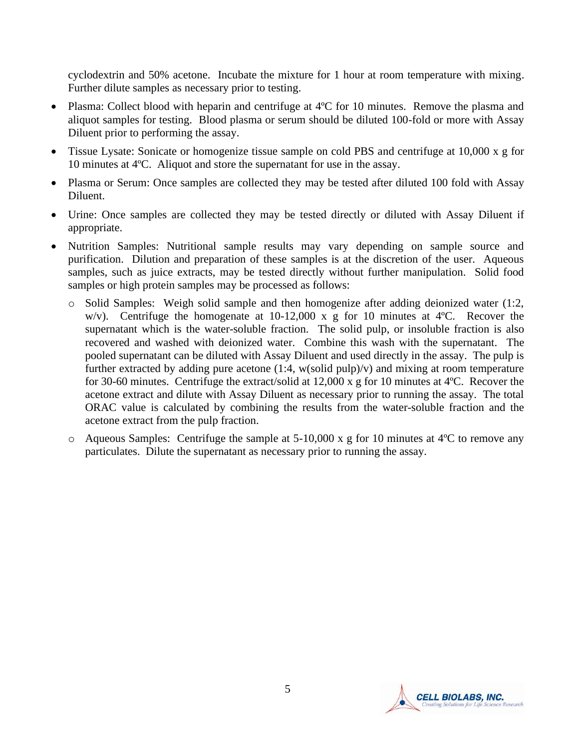cyclodextrin and 50% acetone. Incubate the mixture for 1 hour at room temperature with mixing. Further dilute samples as necessary prior to testing.

- Plasma: Collect blood with heparin and centrifuge at 4°C for 10 minutes. Remove the plasma and aliquot samples for testing. Blood plasma or serum should be diluted 100-fold or more with Assay Diluent prior to performing the assay.
- Tissue Lysate: Sonicate or homogenize tissue sample on cold PBS and centrifuge at 10,000 x g for 10 minutes at 4ºC. Aliquot and store the supernatant for use in the assay.
- Plasma or Serum: Once samples are collected they may be tested after diluted 100 fold with Assay Diluent.
- Urine: Once samples are collected they may be tested directly or diluted with Assay Diluent if appropriate.
- Nutrition Samples: Nutritional sample results may vary depending on sample source and purification. Dilution and preparation of these samples is at the discretion of the user. Aqueous samples, such as juice extracts, may be tested directly without further manipulation. Solid food samples or high protein samples may be processed as follows:
	- o Solid Samples: Weigh solid sample and then homogenize after adding deionized water (1:2, w/v). Centrifuge the homogenate at  $10-12,000 \times g$  for 10 minutes at 4°C. Recover the supernatant which is the water-soluble fraction. The solid pulp, or insoluble fraction is also recovered and washed with deionized water. Combine this wash with the supernatant. The pooled supernatant can be diluted with Assay Diluent and used directly in the assay. The pulp is further extracted by adding pure acetone  $(1:4, w(\text{solid pulp})/v)$  and mixing at room temperature for 30-60 minutes. Centrifuge the extract/solid at 12,000 x g for 10 minutes at 4ºC. Recover the acetone extract and dilute with Assay Diluent as necessary prior to running the assay. The total ORAC value is calculated by combining the results from the water-soluble fraction and the acetone extract from the pulp fraction.
	- o Aqueous Samples: Centrifuge the sample at 5-10,000 x g for 10 minutes at 4ºC to remove any particulates. Dilute the supernatant as necessary prior to running the assay.

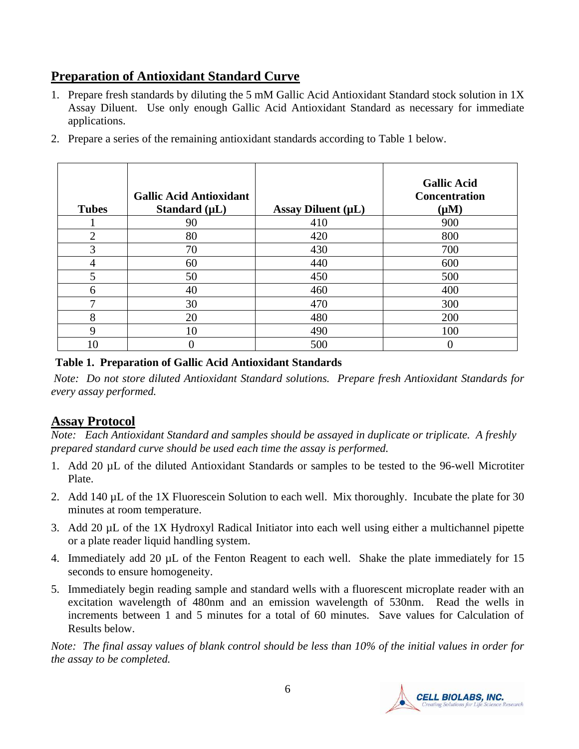# **Preparation of Antioxidant Standard Curve**

1. Prepare fresh standards by diluting the 5 mM Gallic Acid Antioxidant Standard stock solution in 1X Assay Diluent. Use only enough Gallic Acid Antioxidant Standard as necessary for immediate applications.

| <b>Tubes</b>   | <b>Gallic Acid Antioxidant</b><br>Standard $(\mu L)$ | Assay Diluent $(\mu L)$ | <b>Gallic Acid</b><br><b>Concentration</b><br>$(\mu M)$ |
|----------------|------------------------------------------------------|-------------------------|---------------------------------------------------------|
|                | 90                                                   | 410                     | 900                                                     |
| $\overline{2}$ | 80                                                   | 420                     | 800                                                     |
| 3              | 70                                                   | 430                     | 700                                                     |
| 4              | 60                                                   | 440                     | 600                                                     |
| 5              | 50                                                   | 450                     | 500                                                     |
| 6              | 40                                                   | 460                     | 400                                                     |
| 7              | 30                                                   | 470                     | 300                                                     |
| 8              | 20                                                   | 480                     | 200                                                     |
| 9              | 10                                                   | 490                     | 100                                                     |
| 10             | 0                                                    | 500                     |                                                         |

2. Prepare a series of the remaining antioxidant standards according to Table 1 below.

#### **Table 1. Preparation of Gallic Acid Antioxidant Standards**

*Note: Do not store diluted Antioxidant Standard solutions. Prepare fresh Antioxidant Standards for every assay performed.*

#### **Assay Protocol**

*Note: Each Antioxidant Standard and samples should be assayed in duplicate or triplicate. A freshly prepared standard curve should be used each time the assay is performed.*

- 1. Add 20 µL of the diluted Antioxidant Standards or samples to be tested to the 96-well Microtiter Plate.
- 2. Add 140 µL of the 1X Fluorescein Solution to each well. Mix thoroughly. Incubate the plate for 30 minutes at room temperature.
- 3. Add 20 µL of the 1X Hydroxyl Radical Initiator into each well using either a multichannel pipette or a plate reader liquid handling system.
- 4. Immediately add 20 µL of the Fenton Reagent to each well. Shake the plate immediately for 15 seconds to ensure homogeneity.
- 5. Immediately begin reading sample and standard wells with a fluorescent microplate reader with an excitation wavelength of 480nm and an emission wavelength of 530nm. Read the wells in increments between 1 and 5 minutes for a total of 60 minutes. Save values for Calculation of Results below.

*Note: The final assay values of blank control should be less than 10% of the initial values in order for the assay to be completed.*

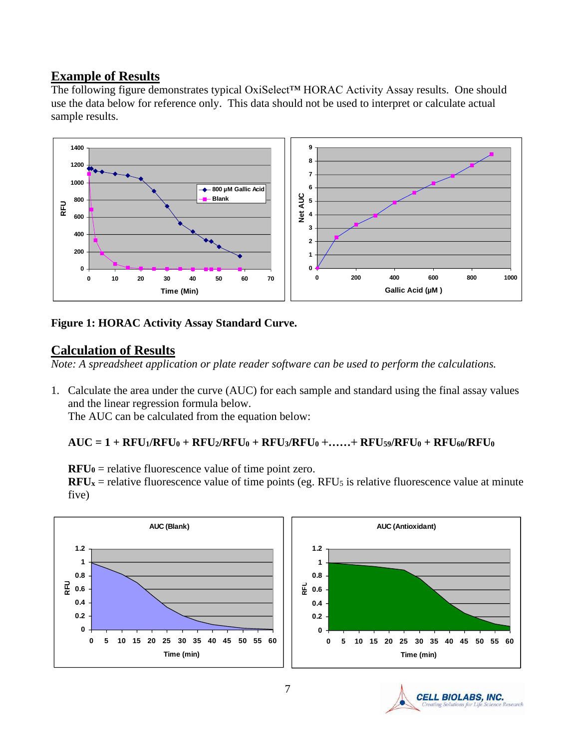#### **Example of Results**

The following figure demonstrates typical OxiSelect™ HORAC Activity Assay results. One should use the data below for reference only. This data should not be used to interpret or calculate actual sample results.



#### **Figure 1: HORAC Activity Assay Standard Curve.**

## **Calculation of Results**

*Note: A spreadsheet application or plate reader software can be used to perform the calculations.*

1. Calculate the area under the curve (AUC) for each sample and standard using the final assay values and the linear regression formula below.

The AUC can be calculated from the equation below:

#### $AUC = 1 + RFU_1/RFU_0 + RFU_2/RFU_0 + RFU_3/RFU_0 + \ldots + RFU_5/RFU_0 + RFU_0/RFU_0$

 $RFU<sub>0</sub> =$  relative fluorescence value of time point zero.

 $RFU_x$  = relative fluorescence value of time points (eg. RFU<sub>5</sub> is relative fluorescence value at minute five)



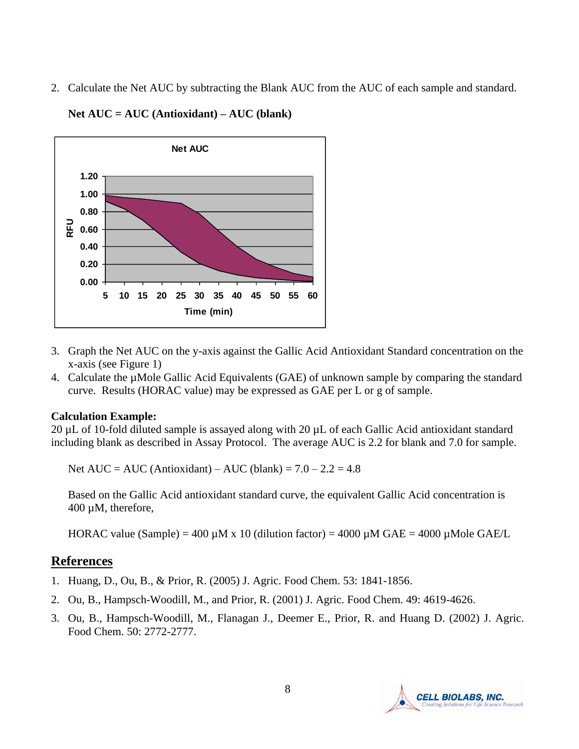2. Calculate the Net AUC by subtracting the Blank AUC from the AUC of each sample and standard.



**Net AUC = AUC (Antioxidant) – AUC (blank)**

- 3. Graph the Net AUC on the y-axis against the Gallic Acid Antioxidant Standard concentration on the x-axis (see Figure 1)
- 4. Calculate the µMole Gallic Acid Equivalents (GAE) of unknown sample by comparing the standard curve. Results (HORAC value) may be expressed as GAE per L or g of sample.

#### **Calculation Example:**

20 µL of 10-fold diluted sample is assayed along with 20 µL of each Gallic Acid antioxidant standard including blank as described in Assay Protocol. The average AUC is 2.2 for blank and 7.0 for sample.

Net AUC = AUC (Antioxidant) – AUC (blank) =  $7.0 - 2.2 = 4.8$ 

Based on the Gallic Acid antioxidant standard curve, the equivalent Gallic Acid concentration is 400 µM, therefore,

HORAC value (Sample) = 400  $\mu$ M x 10 (dilution factor) = 4000  $\mu$ M GAE = 4000  $\mu$ Mole GAE/L

#### **References**

- 1. Huang, D., Ou, B., & Prior, R. (2005) J. Agric. Food Chem. 53: 1841-1856.
- 2. Ou, B., Hampsch-Woodill, M., and Prior, R. (2001) J. Agric. Food Chem. 49: 4619-4626.
- 3. Ou, B., Hampsch-Woodill, M., Flanagan J., Deemer E., Prior, R. and Huang D. (2002) J. Agric. Food Chem. 50: 2772-2777.

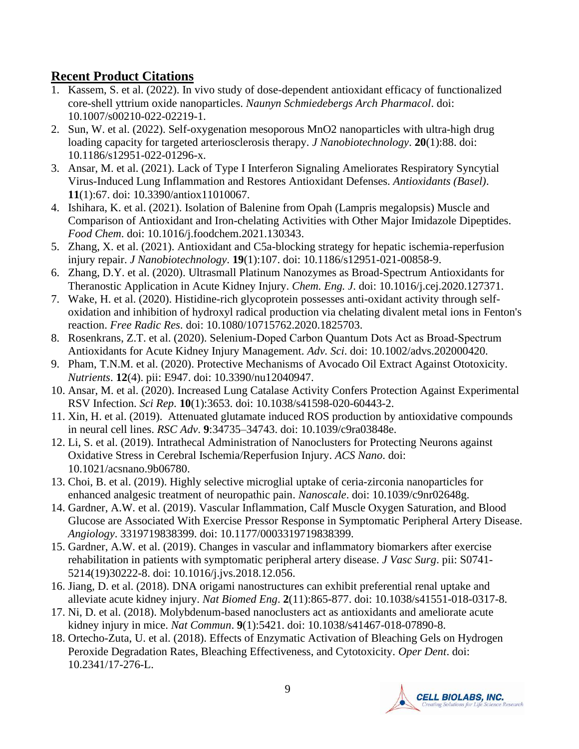## **Recent Product Citations**

- 1. Kassem, S. et al. (2022). In vivo study of dose-dependent antioxidant efficacy of functionalized core-shell yttrium oxide nanoparticles. *Naunyn Schmiedebergs Arch Pharmacol*. doi: 10.1007/s00210-022-02219-1.
- 2. Sun, W. et al. (2022). Self-oxygenation mesoporous MnO2 nanoparticles with ultra-high drug loading capacity for targeted arteriosclerosis therapy. *J Nanobiotechnology*. **20**(1):88. doi: 10.1186/s12951-022-01296-x.
- 3. Ansar, M. et al. (2021). Lack of Type I Interferon Signaling Ameliorates Respiratory Syncytial Virus-Induced Lung Inflammation and Restores Antioxidant Defenses. *Antioxidants (Basel)*. **11**(1):67. doi: 10.3390/antiox11010067.
- 4. Ishihara, K. et al. (2021). Isolation of Balenine from Opah (Lampris megalopsis) Muscle and Comparison of Antioxidant and Iron-chelating Activities with Other Major Imidazole Dipeptides. *Food Chem*. doi: 10.1016/j.foodchem.2021.130343.
- 5. Zhang, X. et al. (2021). Antioxidant and C5a-blocking strategy for hepatic ischemia-reperfusion injury repair. *J Nanobiotechnology*. **19**(1):107. doi: 10.1186/s12951-021-00858-9.
- 6. Zhang, D.Y. et al. (2020). Ultrasmall Platinum Nanozymes as Broad-Spectrum Antioxidants for Theranostic Application in Acute Kidney Injury. *Chem. Eng. J*. doi: 10.1016/j.cej.2020.127371.
- 7. Wake, H. et al. (2020). Histidine-rich glycoprotein possesses anti-oxidant activity through selfoxidation and inhibition of hydroxyl radical production via chelating divalent metal ions in Fenton's reaction. *Free Radic Res*. doi: 10.1080/10715762.2020.1825703.
- 8. Rosenkrans, Z.T. et al. (2020). Selenium‐Doped Carbon Quantum Dots Act as Broad‐Spectrum Antioxidants for Acute Kidney Injury Management. *Adv. Sci*. doi: 10.1002/advs.202000420.
- 9. Pham, T.N.M. et al. (2020). Protective Mechanisms of Avocado Oil Extract Against Ototoxicity. *Nutrients*. **12**(4). pii: E947. doi: 10.3390/nu12040947.
- 10. Ansar, M. et al. (2020). Increased Lung Catalase Activity Confers Protection Against Experimental RSV Infection. *Sci Rep*. **10**(1):3653. doi: 10.1038/s41598-020-60443-2.
- 11. Xin, H. et al. (2019). Attenuated glutamate induced ROS production by antioxidative compounds in neural cell lines. *RSC Adv*. **9**:34735–34743. doi: 10.1039/c9ra03848e.
- 12. Li, S. et al. (2019). Intrathecal Administration of Nanoclusters for Protecting Neurons against Oxidative Stress in Cerebral Ischemia/Reperfusion Injury. *ACS Nano*. doi: 10.1021/acsnano.9b06780.
- 13. Choi, B. et al. (2019). Highly selective microglial uptake of ceria-zirconia nanoparticles for enhanced analgesic treatment of neuropathic pain. *Nanoscale*. doi: 10.1039/c9nr02648g.
- 14. Gardner, A.W. et al. (2019). Vascular Inflammation, Calf Muscle Oxygen Saturation, and Blood Glucose are Associated With Exercise Pressor Response in Symptomatic Peripheral Artery Disease. *Angiology*. 3319719838399. doi: 10.1177/0003319719838399.
- 15. Gardner, A.W. et al. (2019). Changes in vascular and inflammatory biomarkers after exercise rehabilitation in patients with symptomatic peripheral artery disease. *J Vasc Surg*. pii: S0741- 5214(19)30222-8. doi: 10.1016/j.jvs.2018.12.056.
- 16. Jiang, D. et al. (2018). DNA origami nanostructures can exhibit preferential renal uptake and alleviate acute kidney injury. *Nat Biomed Eng*. **2**(11):865-877. doi: 10.1038/s41551-018-0317-8.
- 17. Ni, D. et al. (2018). Molybdenum-based nanoclusters act as antioxidants and ameliorate acute kidney injury in mice. *Nat Commun*. **9**(1):5421. doi: 10.1038/s41467-018-07890-8.
- 18. Ortecho-Zuta, U. et al. (2018). Effects of Enzymatic Activation of Bleaching Gels on Hydrogen Peroxide Degradation Rates, Bleaching Effectiveness, and Cytotoxicity. *Oper Dent*. doi: 10.2341/17-276-L.

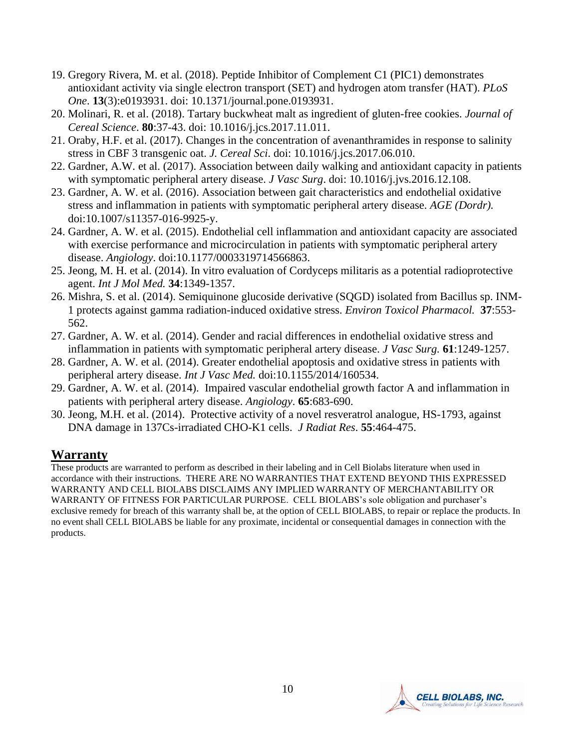- 19. Gregory Rivera, M. et al. (2018). Peptide Inhibitor of Complement C1 (PIC1) demonstrates antioxidant activity via single electron transport (SET) and hydrogen atom transfer (HAT). *PLoS One*. **13**(3):e0193931. doi: 10.1371/journal.pone.0193931.
- 20. Molinari, R. et al. (2018). Tartary buckwheat malt as ingredient of gluten-free cookies. *Journal of Cereal Science*. **80**:37-43. doi: 10.1016/j.jcs.2017.11.011.
- 21. Oraby, H.F. et al. (2017). Changes in the concentration of avenanthramides in response to salinity stress in CBF 3 transgenic oat. *J. Cereal Sci*. doi: 10.1016/j.jcs.2017.06.010.
- 22. Gardner, A.W. et al. (2017). Association between daily walking and antioxidant capacity in patients with symptomatic peripheral artery disease. *J Vasc Surg*. doi: 10.1016/j.jvs.2016.12.108.
- 23. Gardner, A. W. et al. (2016). Association between gait characteristics and endothelial oxidative stress and inflammation in patients with symptomatic peripheral artery disease. *AGE (Dordr).* doi:10.1007/s11357-016-9925-y.
- 24. Gardner, A. W. et al. (2015). Endothelial cell inflammation and antioxidant capacity are associated with exercise performance and microcirculation in patients with symptomatic peripheral artery disease. *Angiology*. doi:10.1177/0003319714566863.
- 25. Jeong, M. H. et al. (2014). In vitro evaluation of Cordyceps militaris as a potential radioprotective agent. *Int J Mol Med.* **34**:1349-1357.
- 26. Mishra, S. et al. (2014). Semiquinone glucoside derivative (SQGD) isolated from Bacillus sp. INM-1 protects against gamma radiation-induced oxidative stress. *Environ Toxicol Pharmacol.* **37**:553- 562.
- 27. Gardner, A. W. et al. (2014). Gender and racial differences in endothelial oxidative stress and inflammation in patients with symptomatic peripheral artery disease. *J Vasc Surg.* **61**:1249-1257.
- 28. Gardner, A. W. et al. (2014). Greater endothelial apoptosis and oxidative stress in patients with peripheral artery disease. *Int J Vasc Med.* doi:10.1155/2014/160534.
- 29. Gardner, A. W. et al. (2014). Impaired vascular endothelial growth factor A and inflammation in patients with peripheral artery disease. *Angiology*. **65**:683-690.
- 30. Jeong, M.H. et al. (2014). Protective activity of a novel resveratrol analogue, HS-1793, against DNA damage in 137Cs-irradiated CHO-K1 cells. *J Radiat Res*. **55**:464-475.

# **Warranty**

These products are warranted to perform as described in their labeling and in Cell Biolabs literature when used in accordance with their instructions. THERE ARE NO WARRANTIES THAT EXTEND BEYOND THIS EXPRESSED WARRANTY AND CELL BIOLABS DISCLAIMS ANY IMPLIED WARRANTY OF MERCHANTABILITY OR WARRANTY OF FITNESS FOR PARTICULAR PURPOSE. CELL BIOLABS's sole obligation and purchaser's exclusive remedy for breach of this warranty shall be, at the option of CELL BIOLABS, to repair or replace the products. In no event shall CELL BIOLABS be liable for any proximate, incidental or consequential damages in connection with the products.